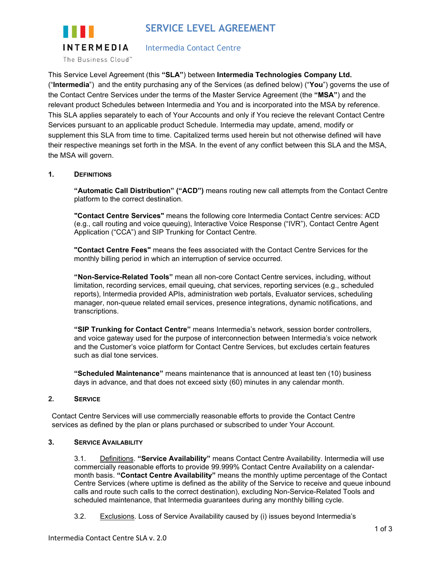



Intermedia Contact Centre

This Service Level Agreement (this **"SLA"**) between **Intermedia Technologies Company Ltd.** ("**Intermedia**") and the entity purchasing any of the Services (as defined below) ("**You**") governs the use of the Contact Centre Services under the terms of the Master Service Agreement (the **"MSA"**) and the relevant product Schedules between Intermedia and You and is incorporated into the MSA by reference. This SLA applies separately to each of Your Accounts and only if You recieve the relevant Contact Centre Services pursuant to an applicable product Schedule. Intermedia may update, amend, modify or supplement this SLA from time to time. Capitalized terms used herein but not otherwise defined will have their respective meanings set forth in the MSA. In the event of any conflict between this SLA and the MSA, the MSA will govern.

# **1. DEFINITIONS**

**"Automatic Call Distribution" ("ACD")** means routing new call attempts from the Contact Centre platform to the correct destination.

**"Contact Centre Services"** means the following core Intermedia Contact Centre services: ACD (e.g., call routing and voice queuing), Interactive Voice Response ("IVR"), Contact Centre Agent Application ("CCA") and SIP Trunking for Contact Centre.

**"Contact Centre Fees"** means the fees associated with the Contact Centre Services for the monthly billing period in which an interruption of service occurred.

**"Non-Service-Related Tools"** mean all non-core Contact Centre services, including, without limitation, recording services, email queuing, chat services, reporting services (e.g., scheduled reports), Intermedia provided APIs, administration web portals, Evaluator services, scheduling manager, non-queue related email services, presence integrations, dynamic notifications, and transcriptions.

**"SIP Trunking for Contact Centre"** means Intermedia's network, session border controllers, and voice gateway used for the purpose of interconnection between Intermedia's voice network and the Customer's voice platform for Contact Centre Services, but excludes certain features such as dial tone services.

**"Scheduled Maintenance"** means maintenance that is announced at least ten (10) business days in advance, and that does not exceed sixty (60) minutes in any calendar month.

### **2. SERVICE**

Contact Centre Services will use commercially reasonable efforts to provide the Contact Centre services as defined by the plan or plans purchased or subscribed to under Your Account.

### **3. SERVICE AVAILABILITY**

3.1. Definitions. **"Service Availability"** means Contact Centre Availability. Intermedia will use commercially reasonable efforts to provide 99.999% Contact Centre Availability on a calendarmonth basis. **"Contact Centre Availability"** means the monthly uptime percentage of the Contact Centre Services (where uptime is defined as the ability of the Service to receive and queue inbound calls and route such calls to the correct destination), excluding Non-Service-Related Tools and scheduled maintenance, that Intermedia guarantees during any monthly billing cycle.

3.2. Exclusions. Loss of Service Availability caused by (i) issues beyond Intermedia's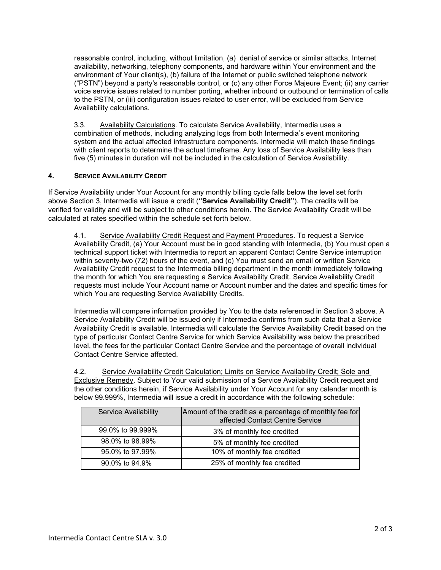reasonable control, including, without limitation, (a) denial of service or similar attacks, Internet availability, networking, telephony components, and hardware within Your environment and the environment of Your client(s), (b) failure of the Internet or public switched telephone network ("PSTN") beyond a party's reasonable control, or (c) any other Force Majeure Event; (ii) any carrier voice service issues related to number porting, whether inbound or outbound or termination of calls to the PSTN, or (iii) configuration issues related to user error, will be excluded from Service Availability calculations.

3.3. Availability Calculations. To calculate Service Availability, Intermedia uses a combination of methods, including analyzing logs from both Intermedia's event monitoring system and the actual affected infrastructure components. Intermedia will match these findings with client reports to determine the actual timeframe. Any loss of Service Availability less than five (5) minutes in duration will not be included in the calculation of Service Availability.

## **4. SERVICE AVAILABILITY CREDIT**

If Service Availability under Your Account for any monthly billing cycle falls below the level set forth above Section 3, Intermedia will issue a credit (**"Service Availability Credit"**). The credits will be verified for validity and will be subject to other conditions herein. The Service Availability Credit will be calculated at rates specified within the schedule set forth below.

4.1. Service Availability Credit Request and Payment Procedures. To request a Service Availability Credit, (a) Your Account must be in good standing with Intermedia, (b) You must open a technical support ticket with Intermedia to report an apparent Contact Centre Service interruption within seventy-two (72) hours of the event, and (c) You must send an email or written Service Availability Credit request to the Intermedia billing department in the month immediately following the month for which You are requesting a Service Availability Credit. Service Availability Credit requests must include Your Account name or Account number and the dates and specific times for which You are requesting Service Availability Credits.

Intermedia will compare information provided by You to the data referenced in Section 3 above. A Service Availability Credit will be issued only if Intermedia confirms from such data that a Service Availability Credit is available. Intermedia will calculate the Service Availability Credit based on the type of particular Contact Centre Service for which Service Availability was below the prescribed level, the fees for the particular Contact Centre Service and the percentage of overall individual Contact Centre Service affected.

4.2. Service Availability Credit Calculation; Limits on Service Availability Credit; Sole and Exclusive Remedy. Subject to Your valid submission of a Service Availability Credit request and the other conditions herein, if Service Availability under Your Account for any calendar month is below 99.999%, Intermedia will issue a credit in accordance with the following schedule:

| <b>Service Availability</b> | Amount of the credit as a percentage of monthly fee for<br>affected Contact Centre Service |
|-----------------------------|--------------------------------------------------------------------------------------------|
| 99.0% to 99.999%            | 3% of monthly fee credited                                                                 |
| 98.0% to 98.99%             | 5% of monthly fee credited                                                                 |
| 95.0% to 97.99%             | 10% of monthly fee credited                                                                |
| 90.0% to 94.9%              | 25% of monthly fee credited                                                                |